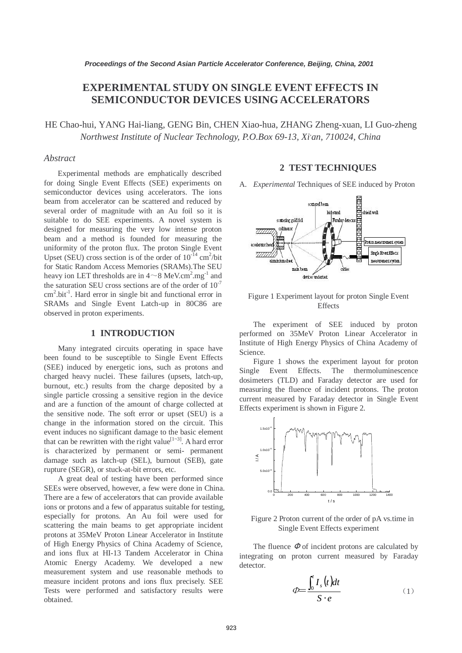# **EXPERIMENTAL STUDY ON SINGLE EVENT EFFECTS IN SEMICONDUCTOR DEVICES USING ACCELERATORS**

HE Chao-hui, YANG Hai-liang, GENG Bin, CHEN Xiao-hua, ZHANG Zheng-xuan, LI Guo-zheng *Northwest Institute of Nuclear Technology, P.O.Box 69-13, Xi, an, 710024, China*

#### *Abstract*

Experimental methods are emphatically described for doing Single Event Effects (SEE) experiments on semiconductor devices using accelerators. The ions beam from accelerator can be scattered and reduced by several order of magnitude with an Au foil so it is suitable to do SEE experiments. A novel system is designed for measuring the very low intense proton beam and a method is founded for measuring the uniformity of the proton flux. The proton Single Event Upset (SEU) cross section is of the order of  $10^{-14}$  cm<sup>2</sup>/bit for Static Random Access Memories (SRAMs).The SEU heavy ion LET thresholds are in  $4\sim8$  MeV.cm<sup>2</sup>.mg<sup>-1</sup> and the saturation SEU cross sections are of the order of  $10^{-7}$ cm<sup>2</sup>.bit<sup>-1</sup>. Hard error in single bit and functional error in SRAMs and Single Event Latch-up in 80C86 are observed in proton experiments.

## **1 INTRODUCTION**

Many integrated circuits operating in space have been found to be susceptible to Single Event Effects (SEE) induced by energetic ions, such as protons and charged heavy nuclei. These failures (upsets, latch-up, burnout, etc.) results from the charge deposited by a single particle crossing a sensitive region in the device and are a function of the amount of charge collected at the sensitive node. The soft error or upset (SEU) is a change in the information stored on the circuit. This event induces no significant damage to the basic element that can be rewritten with the right value<sup>[1~3]</sup>. A hard error is characterized by permanent or semi- permanent damage such as latch-up (SEL), burnout (SEB), gate rupture (SEGR), or stuck-at-bit errors, etc.

A great deal of testing have been performed since SEEs were observed, however, a few were done in China. There are a few of accelerators that can provide available ions or protons and a few of apparatus suitable for testing, especially for protons. An Au foil were used for scattering the main beams to get appropriate incident protons at 35MeV Proton Linear Accelerator in Institute of High Energy Physics of China Academy of Science, and ions flux at HI-13 Tandem Accelerator in China Atomic Energy Academy. We developed a new measurement system and use reasonable methods to measure incident protons and ions flux precisely. SEE Tests were performed and satisfactory results were obtained.

## **2 TEST TECHNIQUES**

A. *Experimental* Techniques of SEE induced by Proton



Figure 1 Experiment layout for proton Single Event **Effects** 

The experiment of SEE induced by proton performed on 35MeV Proton Linear Accelerator in Institute of High Energy Physics of China Academy of Science.

Figure 1 shows the experiment layout for proton Single Event Effects. The thermoluminescence dosimeters (TLD) and Faraday detector are used for measuring the fluence of incident protons. The proton current measured by Faraday detector in Single Event Effects experiment is shown in Figure 2.



Figure 2 Proton current of the order of pA vs.time in Single Event Effects experiment

The fluence  $\Phi$  of incident protons are calculated by integrating on proton current measured by Faraday detector.

$$
\phi = \frac{\int_0^t I_s(t)dt}{S \cdot e} \tag{1}
$$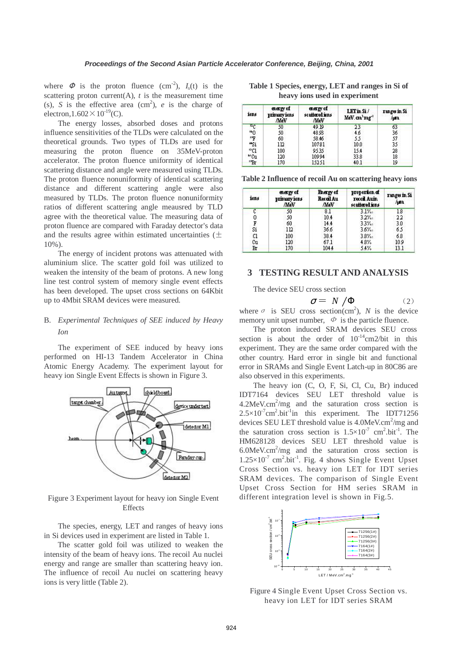where  $\Phi$  is the proton fluence (cm<sup>-2</sup>),  $I_s(t)$  is the scattering proton current(A),  $t$  is the measurement time (s), *S* is the effective area  $(cm<sup>2</sup>)$ , *e* is the charge of electron,  $1.602 \times 10^{-19}$  (C).

The energy losses, absorbed doses and protons influence sensitivities of the TLDs were calculated on the theoretical grounds. Two types of TLDs are used for measuring the proton fluence on 35MeV-proton accelerator. The proton fluence uniformity of identical scattering distance and angle were measured using TLDs. The proton fluence nonuniformity of identical scattering distance and different scattering angle were also measured by TLDs. The proton fluence nonuniformity ratios of different scattering angle meausred by TLD agree with the theoretical value. The measuring data of proton fluence are compared with Faraday detector's data and the results agree within estimated uncertainties ( $\pm$ 10%).

The energy of incident protons was attenuated with aluminium slice. The scatter gold foil was utilized to weaken the intensity of the beam of protons. A new long line test control system of memory single event effects has been developed. The upset cross sections on 64Kbit up to 4Mbit SRAM devices were measured.

# B. *Experimental Techniques of SEE induced by Heavy Ion*

The experiment of SEE induced by heavy ions performed on HI-13 Tandem Accelerator in China Atomic Energy Academy. The experiment layout for heavy ion Single Event Effects is shown in Figure 3.



Figure 3 Experiment layout for heavy ion Single Event **Effects** 

The species, energy, LET and ranges of heavy ions in Si devices used in experiment are listed in Table 1.

The scatter gold foil was utilized to weaken the intensity of the beam of heavy ions. The recoil Au nuclei energy and range are smaller than scattering heavy ion. The influence of recoil Au nuclei on scattering heavy ions is very little (Table 2).

| Table 1 Species, energy, LET and ranges in Si of |  |
|--------------------------------------------------|--|
| heavy ions used in experiment                    |  |

| ions                           | energy of<br>primary ions<br>AleV | energy of<br>scattered ions<br><b><i>AleV</i></b> | LETmSi/<br>MeV. an'mg'' | range in Si<br>/pm |
|--------------------------------|-----------------------------------|---------------------------------------------------|-------------------------|--------------------|
| ու                             | 50                                | 49.19                                             | 23                      | 63                 |
| <b>"0</b>                      | 50                                | 48.93                                             | 46                      | 36                 |
|                                | 60                                | 58.46                                             | 55                      | 57                 |
| $\frac{1}{2}$<br>$\frac{1}{2}$ | 112                               | 10781                                             | 10.0                    | 35                 |
| ®C1                            | 100                               | 9535                                              | 15.4                    | 28                 |
| "Cu                            | 120                               | 10994                                             | 33.8                    | 18                 |
| "Br                            | 170                               | 15251                                             | 40.1                    | 19                 |

**Table 2 Influence of recoil Au on scattering heavy ions** 

| ions | energy of<br>primary ions<br><b>AleV</b> | Energy of<br>RecalAu<br>AleV | proportion of<br>recoil Auin<br>scattered ions | ranges in Si<br>/µm |
|------|------------------------------------------|------------------------------|------------------------------------------------|---------------------|
| c    | 50                                       | 8.1                          | $3.1\%$                                        | 18                  |
| 0    | 50                                       | 10.4                         | $3.2\%$                                        | 22                  |
| F    | 60                                       | 14.4                         | 33%                                            | 3.0                 |
| Si   | 112                                      | 36.6                         | $3.6\%$                                        | 65                  |
| C1   | 100                                      | 38.4                         | 38%                                            | 68                  |
| Сu   | 120                                      | 67.1                         | 4.8%                                           | 109                 |
| Вг   | 170                                      | 1044                         | 5.4%                                           | 13.1                |

## **3 TESTING RESULT AND ANALYSIS**

The device SEU cross section

$$
\sigma = N / \Phi \tag{2}
$$

where  $\sigma$  is SEU cross section(cm<sup>2</sup>), *N* is the device memory unit upset number,  $\Phi$  is the particle fluence.

The proton induced SRAM devices SEU cross section is about the order of  $10^{-14}$ cm2/bit in this experiment. They are the same order compared with the other country. Hard error in single bit and functional error in SRAMs and Single Event Latch-up in 80C86 are also observed in this experiments.

The heavy ion (C, O, F, Si, Cl, Cu, Br) induced IDT7164 devices SEU LET threshold value is  $4.2$ MeV.cm<sup>2</sup>/mg and the saturation cross section is  $2.5 \times 10^{-7}$ cm<sup>2</sup>.bit<sup>-1</sup>in this experiment. The IDT71256 devices SEU LET threshold value is 4.0MeV.cm<sup>2</sup>/mg and the saturation cross section is  $1.5 \times 10^{-7}$  cm<sup>2</sup>.bit<sup>-1</sup>. The HM628128 devices SEU LET threshold value is  $6.0$ MeV.cm<sup>2</sup>/mg and the saturation cross section is  $1.25 \times 10^{-7}$  cm<sup>2</sup>.bit<sup>-1</sup>. Fig. 4 shows Single Event Upset Cross Section vs. heavy ion LET for IDT series SRAM devices. The comparison of Single Event Upset Cross Section for HM series SRAM in different integration level is shown in Fig.5.



Figure 4 Single Event Upset Cross Section vs. heavy ion LET for IDT series SRAM